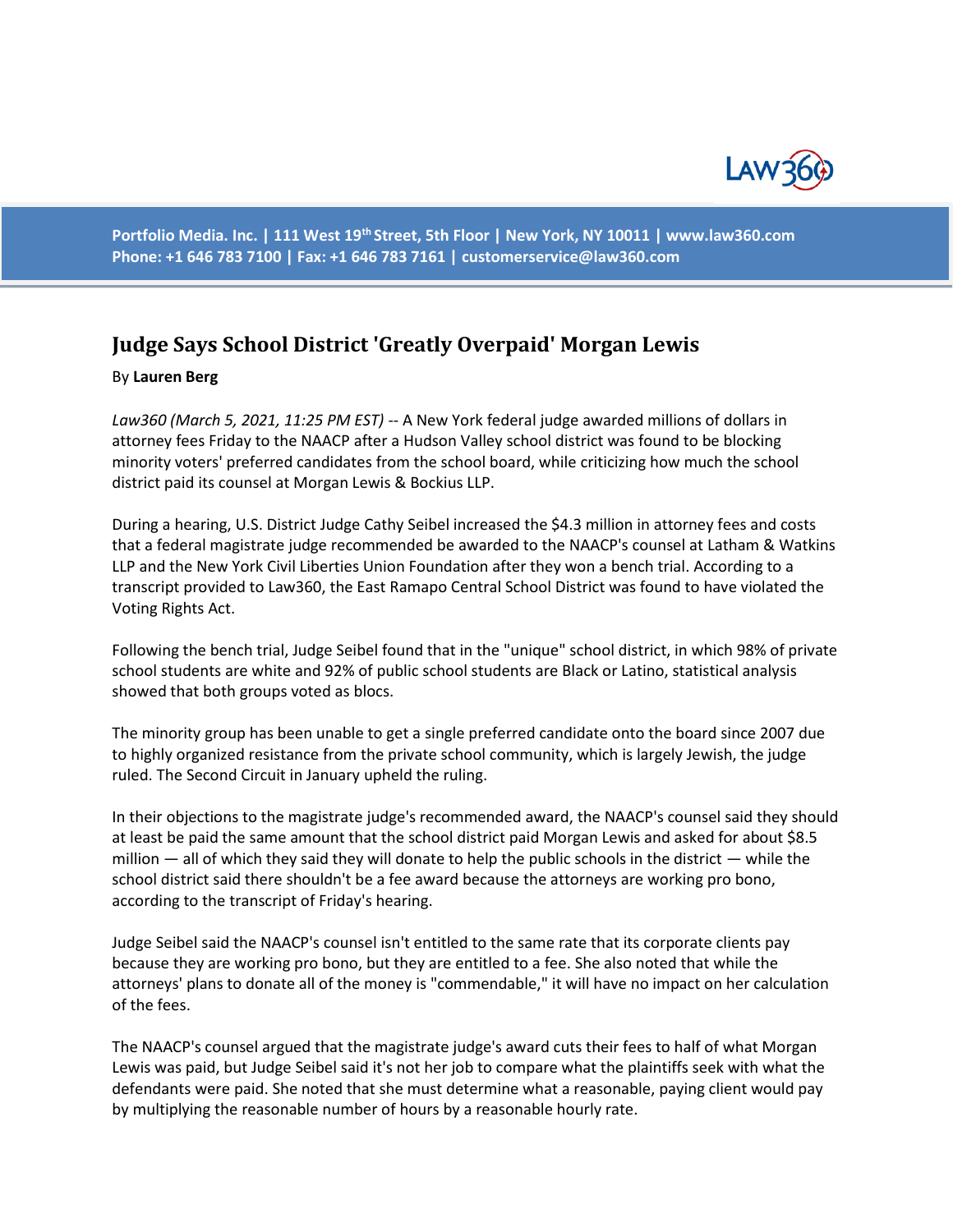

**Portfolio Media. Inc. | 111 West 19th Street, 5th Floor | New York, NY 10011 | www.law360.com Phone: +1 646 783 7100 | Fax: +1 646 783 7161 | customerservice@law360.com**

## **Judge Says School District 'Greatly Overpaid' Morgan Lewis**

## By **Lauren Berg**

*Law360 (March 5, 2021, 11:25 PM EST)* -- A New York federal judge awarded millions of dollars in attorney fees Friday to the NAACP after a Hudson Valley school district was found to be blocking minority voters' preferred candidates from the school board, while criticizing how much the school district paid its counsel at Morgan Lewis & Bockius LLP.

During a hearing, U.S. District Judge Cathy Seibel increased the \$4.3 million in attorney fees and costs that a federal magistrate judge recommended be awarded to the NAACP's counsel at Latham & Watkins LLP and the New York Civil Liberties Union Foundation after they won a bench trial. According to a transcript provided to Law360, the East Ramapo Central School District was found to have violated the Voting Rights Act.

Following the bench trial, Judge Seibel found that in the "unique" school district, in which 98% of private school students are white and 92% of public school students are Black or Latino, statistical analysis showed that both groups voted as blocs.

The minority group has been unable to get a single preferred candidate onto the board since 2007 due to highly organized resistance from the private school community, which is largely Jewish, the judge ruled. The Second Circuit in January upheld the ruling.

In their objections to the magistrate judge's recommended award, the NAACP's counsel said they should at least be paid the same amount that the school district paid Morgan Lewis and asked for about \$8.5 million  $-$  all of which they said they will donate to help the public schools in the district  $-$  while the school district said there shouldn't be a fee award because the attorneys are working pro bono, according to the transcript of Friday's hearing.

Judge Seibel said the NAACP's counsel isn't entitled to the same rate that its corporate clients pay because they are working pro bono, but they are entitled to a fee. She also noted that while the attorneys' plans to donate all of the money is "commendable," it will have no impact on her calculation of the fees.

The NAACP's counsel argued that the magistrate judge's award cuts their fees to half of what Morgan Lewis was paid, but Judge Seibel said it's not her job to compare what the plaintiffs seek with what the defendants were paid. She noted that she must determine what a reasonable, paying client would pay by multiplying the reasonable number of hours by a reasonable hourly rate.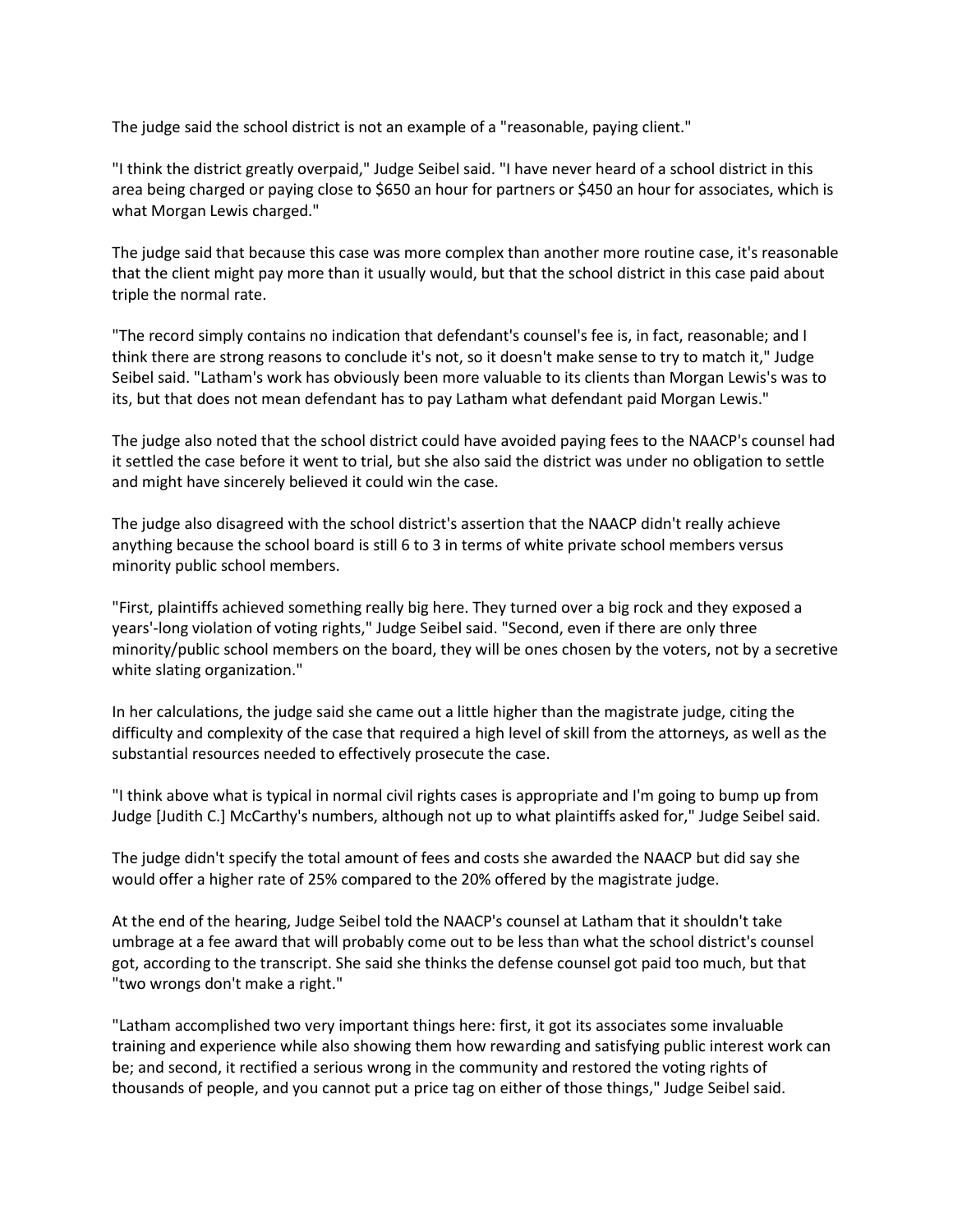The judge said the school district is not an example of a "reasonable, paying client."

"I think the district greatly overpaid," Judge Seibel said. "I have never heard of a school district in this area being charged or paying close to \$650 an hour for partners or \$450 an hour for associates, which is what Morgan Lewis charged."

The judge said that because this case was more complex than another more routine case, it's reasonable that the client might pay more than it usually would, but that the school district in this case paid about triple the normal rate.

"The record simply contains no indication that defendant's counsel's fee is, in fact, reasonable; and I think there are strong reasons to conclude it's not, so it doesn't make sense to try to match it," Judge Seibel said. "Latham's work has obviously been more valuable to its clients than Morgan Lewis's was to its, but that does not mean defendant has to pay Latham what defendant paid Morgan Lewis."

The judge also noted that the school district could have avoided paying fees to the NAACP's counsel had it settled the case before it went to trial, but she also said the district was under no obligation to settle and might have sincerely believed it could win the case.

The judge also disagreed with the school district's assertion that the NAACP didn't really achieve anything because the school board is still 6 to 3 in terms of white private school members versus minority public school members.

"First, plaintiffs achieved something really big here. They turned over a big rock and they exposed a years'-long violation of voting rights," Judge Seibel said. "Second, even if there are only three minority/public school members on the board, they will be ones chosen by the voters, not by a secretive white slating organization."

In her calculations, the judge said she came out a little higher than the magistrate judge, citing the difficulty and complexity of the case that required a high level of skill from the attorneys, as well as the substantial resources needed to effectively prosecute the case.

"I think above what is typical in normal civil rights cases is appropriate and I'm going to bump up from Judge [Judith C.] McCarthy's numbers, although not up to what plaintiffs asked for," Judge Seibel said.

The judge didn't specify the total amount of fees and costs she awarded the NAACP but did say she would offer a higher rate of 25% compared to the 20% offered by the magistrate judge.

At the end of the hearing, Judge Seibel told the NAACP's counsel at Latham that it shouldn't take umbrage at a fee award that will probably come out to be less than what the school district's counsel got, according to the transcript. She said she thinks the defense counsel got paid too much, but that "two wrongs don't make a right."

"Latham accomplished two very important things here: first, it got its associates some invaluable training and experience while also showing them how rewarding and satisfying public interest work can be; and second, it rectified a serious wrong in the community and restored the voting rights of thousands of people, and you cannot put a price tag on either of those things," Judge Seibel said.